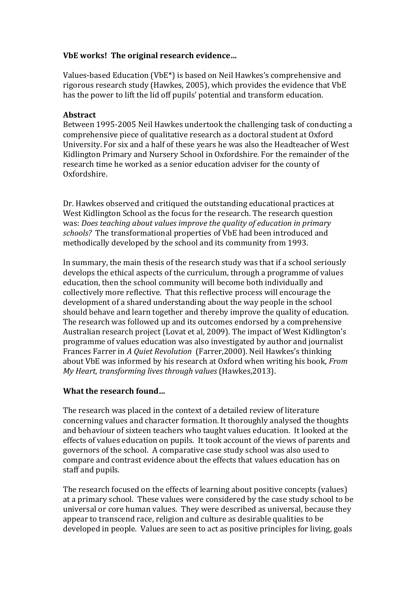# **VbE works! The original research evidence…**

Values-based Education (VbE\*) is based on Neil Hawkes's comprehensive and rigorous research study (Hawkes, 2005), which provides the evidence that VbE has the power to lift the lid off pupils' potential and transform education.

#### **Abstract**

Between 1995-2005 Neil Hawkes undertook the challenging task of conducting a comprehensive piece of qualitative research as a doctoral student at Oxford University. For six and a half of these years he was also the Headteacher of West Kidlington Primary and Nursery School in Oxfordshire. For the remainder of the research time he worked as a senior education adviser for the county of Oxfordshire.

Dr. Hawkes observed and critiqued the outstanding educational practices at West Kidlington School as the focus for the research. The research question was: *Does teaching about values improve the quality of education in primary schools?* The transformational properties of VbE had been introduced and methodically developed by the school and its community from 1993.

In summary, the main thesis of the research study was that if a school seriously develops the ethical aspects of the curriculum, through a programme of values education, then the school community will become both individually and collectively more reflective. That this reflective process will encourage the development of a shared understanding about the way people in the school should behave and learn together and thereby improve the quality of education. The research was followed up and its outcomes endorsed by a comprehensive Australian research project (Lovat et al, 2009). The impact of West Kidlington's programme of values education was also investigated by author and journalist Frances Farrer in *A Quiet Revolution* (Farrer,2000). Neil Hawkes's thinking about VbE was informed by his research at Oxford when writing his book, *From My Heart, transforming lives through values* (Hawkes,2013).

### **What the research found…**

The research was placed in the context of a detailed review of literature concerning values and character formation. It thoroughly analysed the thoughts and behaviour of sixteen teachers who taught values education. It looked at the effects of values education on pupils. It took account of the views of parents and governors of the school. A comparative case study school was also used to compare and contrast evidence about the effects that values education has on staff and pupils.

The research focused on the effects of learning about positive concepts (values) at a primary school. These values were considered by the case study school to be universal or core human values. They were described as universal, because they appear to transcend race, religion and culture as desirable qualities to be developed in people. Values are seen to act as positive principles for living, goals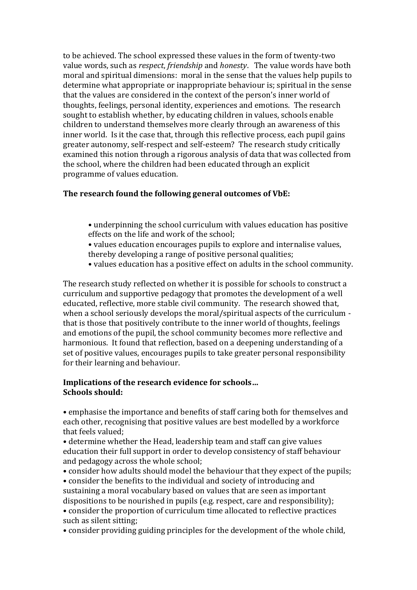to be achieved. The school expressed these values in the form of twenty-two value words, such as *respect*, *friendship* and *honesty*. The value words have both moral and spiritual dimensions: moral in the sense that the values help pupils to determine what appropriate or inappropriate behaviour is; spiritual in the sense that the values are considered in the context of the person's inner world of thoughts, feelings, personal identity, experiences and emotions. The research sought to establish whether, by educating children in values, schools enable children to understand themselves more clearly through an awareness of this inner world. Is it the case that, through this reflective process, each pupil gains greater autonomy, self-respect and self-esteem? The research study critically examined this notion through a rigorous analysis of data that was collected from the school, where the children had been educated through an explicit programme of values education.

# **The research found the following general outcomes of VbE:**

- underpinning the school curriculum with values education has positive effects on the life and work of the school;
- values education encourages pupils to explore and internalise values, thereby developing a range of positive personal qualities;
- values education has a positive effect on adults in the school community.

The research study reflected on whether it is possible for schools to construct a curriculum and supportive pedagogy that promotes the development of a well educated, reflective, more stable civil community. The research showed that, when a school seriously develops the moral/spiritual aspects of the curriculum that is those that positively contribute to the inner world of thoughts, feelings and emotions of the pupil, the school community becomes more reflective and harmonious. It found that reflection, based on a deepening understanding of a set of positive values, encourages pupils to take greater personal responsibility for their learning and behaviour.

### **Implications of the research evidence for schools… Schools should:**

• emphasise the importance and benefits of staff caring both for themselves and each other, recognising that positive values are best modelled by a workforce that feels valued;

• determine whether the Head, leadership team and staff can give values education their full support in order to develop consistency of staff behaviour and pedagogy across the whole school;

• consider how adults should model the behaviour that they expect of the pupils;

• consider the benefits to the individual and society of introducing and sustaining a moral vocabulary based on values that are seen as important dispositions to be nourished in pupils (e.g. respect, care and responsibility);

• consider the proportion of curriculum time allocated to reflective practices such as silent sitting;

• consider providing guiding principles for the development of the whole child,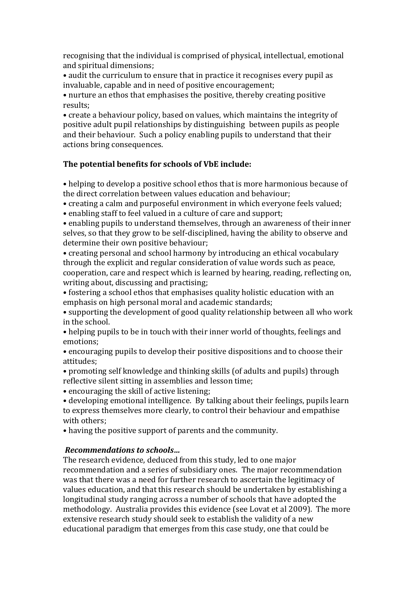recognising that the individual is comprised of physical, intellectual, emotional and spiritual dimensions;

• audit the curriculum to ensure that in practice it recognises every pupil as invaluable, capable and in need of positive encouragement;

• nurture an ethos that emphasises the positive, thereby creating positive results;

• create a behaviour policy, based on values, which maintains the integrity of positive adult pupil relationships by distinguishing between pupils as people and their behaviour. Such a policy enabling pupils to understand that their actions bring consequences.

### **The potential benefits for schools of VbE include:**

• helping to develop a positive school ethos that is more harmonious because of the direct correlation between values education and behaviour;

• creating a calm and purposeful environment in which everyone feels valued;

• enabling staff to feel valued in a culture of care and support;

• enabling pupils to understand themselves, through an awareness of their inner selves, so that they grow to be self-disciplined, having the ability to observe and determine their own positive behaviour;

• creating personal and school harmony by introducing an ethical vocabulary through the explicit and regular consideration of value words such as peace, cooperation, care and respect which is learned by hearing, reading, reflecting on, writing about, discussing and practising;

• fostering a school ethos that emphasises quality holistic education with an emphasis on high personal moral and academic standards;

• supporting the development of good quality relationship between all who work in the school.

• helping pupils to be in touch with their inner world of thoughts, feelings and emotions;

• encouraging pupils to develop their positive dispositions and to choose their attitudes;

• promoting self knowledge and thinking skills (of adults and pupils) through reflective silent sitting in assemblies and lesson time;

• encouraging the skill of active listening;

• developing emotional intelligence. By talking about their feelings, pupils learn to express themselves more clearly, to control their behaviour and empathise with others;

• having the positive support of parents and the community.

# *Recommendations to schools…*

The research evidence, deduced from this study, led to one major recommendation and a series of subsidiary ones. The major recommendation was that there was a need for further research to ascertain the legitimacy of values education, and that this research should be undertaken by establishing a longitudinal study ranging across a number of schools that have adopted the methodology. Australia provides this evidence (see Lovat et al 2009). The more extensive research study should seek to establish the validity of a new educational paradigm that emerges from this case study, one that could be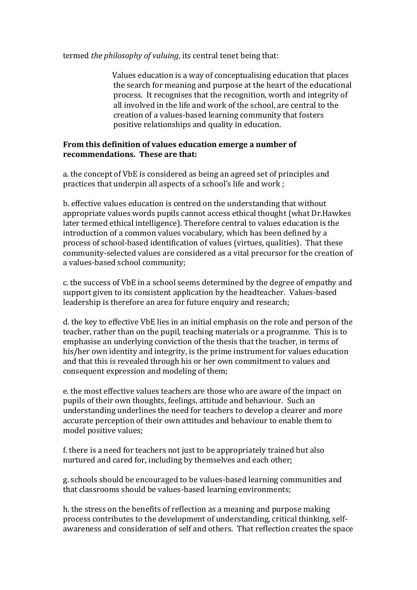termed *the philosophy of valuing*, its central tenet being that:

 Values education is a way of conceptualising education that places the search for meaning and purpose at the heart of the educational process. It recognises that the recognition, worth and integrity of all involved in the life and work of the school, are central to the creation of a values-based learning community that fosters positive relationships and quality in education.

### **From this definition of values education emerge a number of recommendations. These are that:**

a. the concept of VbE is considered as being an agreed set of principles and practices that underpin all aspects of a school's life and work ;

b. effective values education is centred on the understanding that without appropriate values words pupils cannot access ethical thought (what Dr.Hawkes later termed ethical intelligence). Therefore central to values education is the introduction of a common values vocabulary, which has been defined by a process of school-based identification of values (virtues, qualities). That these community-selected values are considered as a vital precursor for the creation of a values-based school community;

c. the success of VbE in a school seems determined by the degree of empathy and support given to its consistent application by the headteacher. Values-based leadership is therefore an area for future enquiry and research;

d. the key to effective VbE lies in an initial emphasis on the role and person of the teacher, rather than on the pupil, teaching materials or a programme. This is to emphasise an underlying conviction of the thesis that the teacher, in terms of his/her own identity and integrity, is the prime instrument for values education and that this is revealed through his or her own commitment to values and consequent expression and modeling of them;

e. the most effective values teachers are those who are aware of the impact on pupils of their own thoughts, feelings, attitude and behaviour. Such an understanding underlines the need for teachers to develop a clearer and more accurate perception of their own attitudes and behaviour to enable them to model positive values;

f. there is a need for teachers not just to be appropriately trained but also nurtured and cared for, including by themselves and each other;

g. schools should be encouraged to be values-based learning communities and that classrooms should be values-based learning environments;

h. the stress on the benefits of reflection as a meaning and purpose making process contributes to the development of understanding, critical thinking, selfawareness and consideration of self and others. That reflection creates the space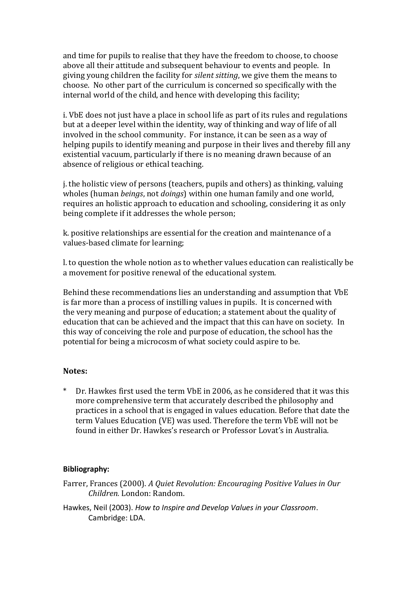and time for pupils to realise that they have the freedom to choose, to choose above all their attitude and subsequent behaviour to events and people. In giving young children the facility for *silent sitting*, we give them the means to choose. No other part of the curriculum is concerned so specifically with the internal world of the child, and hence with developing this facility;

i. VbE does not just have a place in school life as part of its rules and regulations but at a deeper level within the identity, way of thinking and way of life of all involved in the school community. For instance, it can be seen as a way of helping pupils to identify meaning and purpose in their lives and thereby fill any existential vacuum, particularly if there is no meaning drawn because of an absence of religious or ethical teaching.

j. the holistic view of persons (teachers, pupils and others) as thinking, valuing wholes (human *beings*, not *doings*) within one human family and one world, requires an holistic approach to education and schooling, considering it as only being complete if it addresses the whole person;

k. positive relationships are essential for the creation and maintenance of a values-based climate for learning;

l. to question the whole notion as to whether values education can realistically be a movement for positive renewal of the educational system.

 Behind these recommendations lies an understanding and assumption that VbE is far more than a process of instilling values in pupils. It is concerned with the very meaning and purpose of education; a statement about the quality of education that can be achieved and the impact that this can have on society. In this way of conceiving the role and purpose of education, the school has the potential for being a microcosm of what society could aspire to be.

#### **Notes:**

Dr. Hawkes first used the term VbE in 2006, as he considered that it was this more comprehensive term that accurately described the philosophy and practices in a school that is engaged in values education. Before that date the term Values Education (VE) was used. Therefore the term VbE will not be found in either Dr. Hawkes's research or Professor Lovat's in Australia.

#### **Bibliography:**

- Farrer, Frances (2000). *A Quiet Revolution: Encouraging Positive Values in Our Children.* London: Random.
- Hawkes, Neil (2003). *How to Inspire and Develop Values in your Classroom*. Cambridge: LDA.